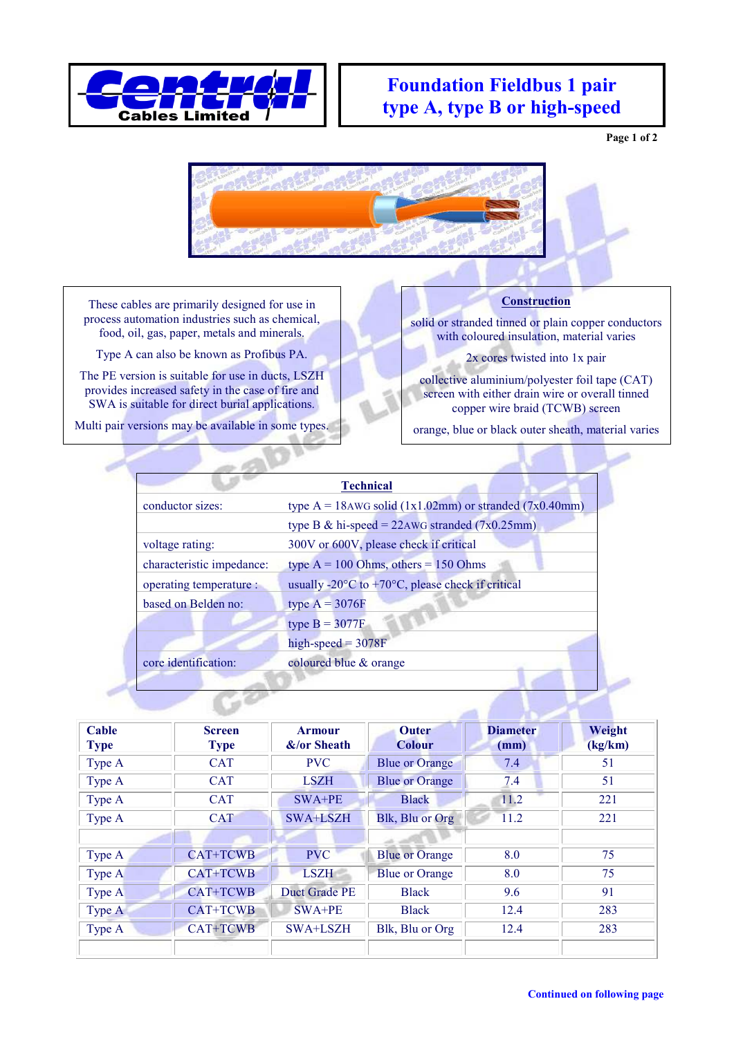

## **Foundation Fieldbus 1 pair type A, type B or high-speed**

**Page 1 of 2**



These cables are primarily designed for use in process automation industries such as chemical, food, oil, gas, paper, metals and minerals.

Type A can also be known as Profibus PA.

The PE version is suitable for use in ducts, LSZH provides increased safety in the case of fire and SWA is suitable for direct burial applications.

Multi pair versions may be available in some types.

## **Construction**

solid or stranded tinned or plain copper conductors with coloured insulation, material varies

2x cores twisted into 1x pair

collective aluminium/polyester foil tape (CAT) screen with either drain wire or overall tinned copper wire braid (TCWB) screen

orange, blue or black outer sheath, material varies

| <b>Technical</b>          |                                                                                 |  |  |  |  |  |
|---------------------------|---------------------------------------------------------------------------------|--|--|--|--|--|
| conductor sizes:          | type $A = 18$ AWG solid (1x1.02mm) or stranded (7x0.40mm)                       |  |  |  |  |  |
|                           | type B & hi-speed = $22AWG$ stranded (7x0.25mm)                                 |  |  |  |  |  |
| voltage rating:           | 300V or 600V, please check if critical                                          |  |  |  |  |  |
| characteristic impedance: | type $A = 100$ Ohms, others = 150 Ohms                                          |  |  |  |  |  |
| operating temperature :   | usually -20 $\rm{^{\circ}C}$ to +70 $\rm{^{\circ}C}$ , please check if critical |  |  |  |  |  |
| based on Belden no:       | type $A = 3076F$                                                                |  |  |  |  |  |
|                           | type $B = 3077F$                                                                |  |  |  |  |  |
|                           | $high-speed = 3078F$                                                            |  |  |  |  |  |
| core identification:      | coloured blue & orange                                                          |  |  |  |  |  |
|                           |                                                                                 |  |  |  |  |  |
|                           |                                                                                 |  |  |  |  |  |

| Cable<br><b>Type</b> | <b>Screen</b><br><b>Type</b> | <b>Armour</b><br>$&$ /or Sheath | <b>Outer</b><br><b>Colour</b> | <b>Diameter</b><br>(mm) | Weight<br>(kg/km) |
|----------------------|------------------------------|---------------------------------|-------------------------------|-------------------------|-------------------|
| Type A               | <b>CAT</b>                   | <b>PVC</b>                      | <b>Blue or Orange</b>         | 7.4                     | 51                |
| Type A               | <b>CAT</b>                   | <b>LSZH</b>                     | <b>Blue or Orange</b>         | 7.4                     | 51                |
| Type A               | <b>CAT</b>                   | $SWA+PE$                        | <b>Black</b>                  | 11.2                    | 221               |
| Type A               | <b>CAT</b>                   | SWA+LSZH                        | Blk, Blu or Org               | 11.2                    | 221               |
|                      |                              |                                 |                               |                         |                   |
| Type A               | <b>CAT+TCWB</b>              | <b>PVC</b>                      | <b>Blue or Orange</b>         | 8.0                     | 75                |
| Type A               | <b>CAT+TCWB</b>              | <b>LSZH</b>                     | <b>Blue or Orange</b>         | 8.0                     | 75                |
| Type A               | CAT+TCWB                     | Duct Grade PE                   | <b>Black</b>                  | 9.6                     | 91                |
| Type A               | CAT+TCWB                     | $SWA+PE$                        | <b>Black</b>                  | 12.4                    | 283               |
| Type A               | <b>CAT+TCWB</b>              | SWA+LSZH                        | Blk, Blu or Org               | 12.4                    | 283               |
|                      |                              |                                 |                               |                         |                   |